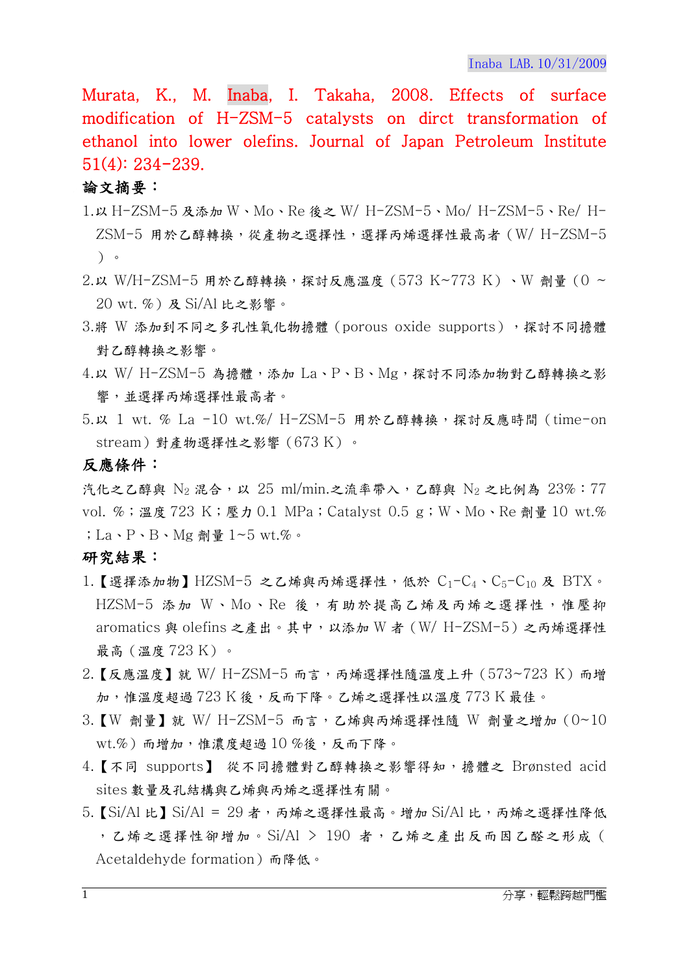Murata, K., M. Inaba, I. Takaha, 2008. Effects of surface modification of H-ZSM-5 catalysts on dirct transformation of ethanol into lower olefins. Journal of Japan Petroleum Institute 51(4): 234-239.

## 論文摘要:

- 1.以 H-ZSM-5 及添加 W、Mo、Re 後之 W/ H-ZSM-5、Mo/ H-ZSM-5、Re/ H-ZSM-5 用於乙醇轉換,從產物之選擇性,選擇丙烯選擇性最高者(W/ H-ZSM-5 )。
- 2.以 W/H-ZSM-5 用於乙醇轉換,探討反應溫度(573 K~773 K)、W 劑量(0 ~ 20 wt. %)及 Si/Al 比之影響。
- 3.將 W 添加到不同之多孔性氧化物擔體 (porous oxide supports), 探討不同擔體 對乙醇轉換之影響。
- 4.以 W/ H-ZSM-5 為擔體,添加 La、P、B、Mg,探討不同添加物對乙醇轉換之影 響,並選擇丙烯選擇性最高者。
- 5.以 1 wt. % La -10 wt.%/ H-ZSM-5 用於乙醇轉換,探討反應時間(time-on stream)對產物選擇性之影響(673 K)。

反應條件:

汽化之乙醇與  $N_2$  混合, 以 25 ml/min.之流率帶入, 乙醇與  $N_2$  之比例為 23%:77 vol. %;溫度 723 K;壓力 0.1 MPa; Catalyst 0.5 g; W、Mo、Re 劑量 10 wt.% ;La、P、B、Mg 劑量 1~5 wt.%。

## 研究結果:

- 1.【選擇添加物】HZSM-5 之乙烯與丙烯選擇性,低於  $C_1-C_4 \cdot C_5-C_{10}$  及 BTX。 HZSM-5 添加 W、Mo、Re 後,有助於提高乙烯及丙烯之選擇性,惟壓抑 aromatics 與 olefins 之產出。其中,以添加 W 者(W/ H-ZSM-5)之丙烯選擇性 最高(溫度 723 K)。
- $2.$ 【反應溫度】就 W/ H-ZSM-5 而言,丙烯選擇性隨溫度上升 (573~723 K)而增 加,惟溫度超過 723 K 後,反而下降。乙烯之選擇性以溫度 773 K 最佳。
- $3.$ 【W 劑量】就 W/H-ZSM-5 而言,乙烯與丙烯選擇性隨 W 劑量之增加 $(0 \sim 10)$ wt.%)而增加,惟濃度超過 10 %後,反而下降。
- 4.【不同 supports】 從不同擔體對乙醇轉換之影響得知,擔體之 Brønsted acid sites 數量及孔結構與乙烯與丙烯之選擇性有關。
- $5.$  [Si/Al 比] Si/Al = 29 者, 丙烯之選擇性最高。增加 Si/Al 比, 丙烯之選擇性降低 ,乙烯之選擇性卻增加。Si/Al > 190 者,乙烯之產出反而因乙醛之形成( Acetaldehyde formation)而降低。